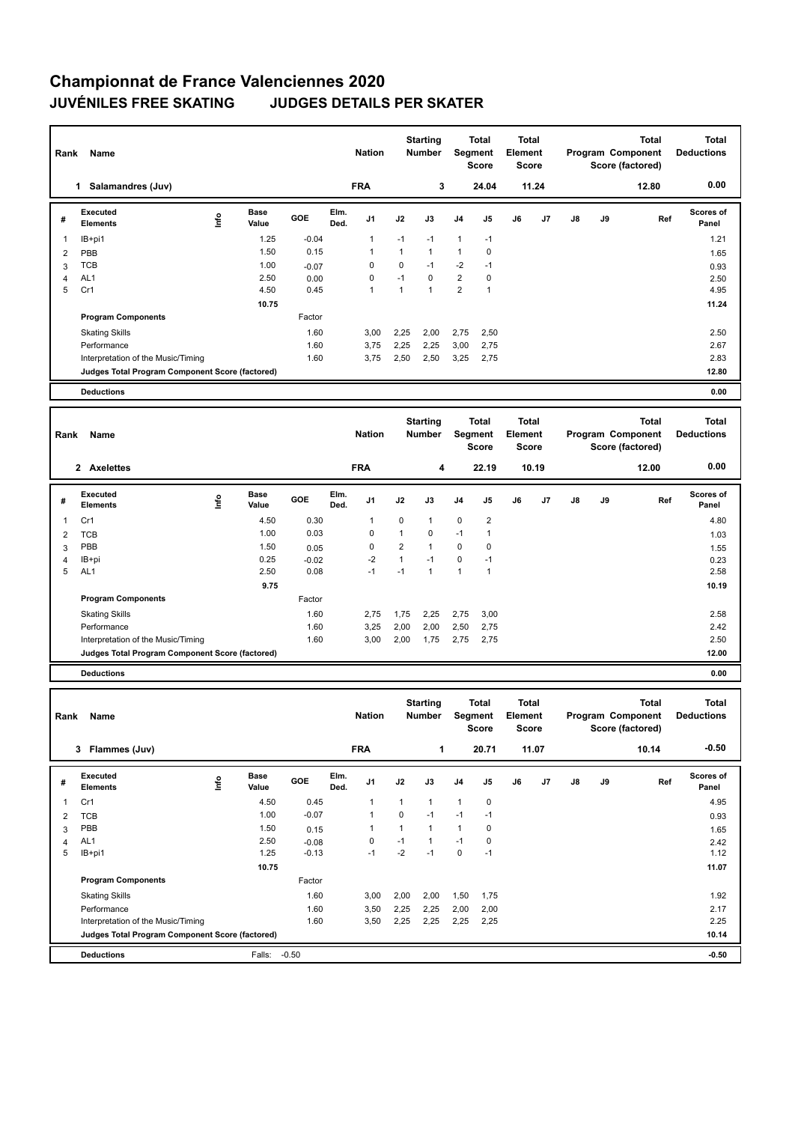## **Championnat de France Valenciennes 2020 JUVÉNILES FREE SKATING JUDGES DETAILS PER SKATER**

| Name<br>Rank |                                                 |                              |         | <b>Nation</b>                  |              | <b>Starting</b><br><b>Number</b> | <b>Total</b><br>Segment<br><b>Score</b> |                                         | <b>Total</b><br>Element<br><b>Score</b> |       | Program Component |    | <b>Total</b><br>Score (factored)                             | <b>Total</b><br><b>Deductions</b> |
|--------------|-------------------------------------------------|------------------------------|---------|--------------------------------|--------------|----------------------------------|-----------------------------------------|-----------------------------------------|-----------------------------------------|-------|-------------------|----|--------------------------------------------------------------|-----------------------------------|
|              | Salamandres (Juv)<br>1.                         |                              |         | <b>FRA</b>                     |              | 3                                |                                         | 24.04                                   |                                         | 11.24 |                   |    | 12.80                                                        | 0.00                              |
| #            | Executed<br><b>Elements</b>                     | <b>Base</b><br>١nf٥<br>Value | GOE     | Elm.<br>J <sub>1</sub><br>Ded. | J2           | J3                               | J <sub>4</sub>                          | J <sub>5</sub>                          | J6                                      | J7    | $\mathsf{J}8$     | J9 | Ref                                                          | <b>Scores of</b><br>Panel         |
| 1            | IB+pi1                                          | 1.25                         | $-0.04$ | 1                              | $-1$         | $-1$                             | $\mathbf{1}$                            | $-1$                                    |                                         |       |                   |    |                                                              | 1.21                              |
| 2            | PBB                                             | 1.50                         | 0.15    | 1                              | $\mathbf{1}$ | $\mathbf{1}$                     | $\mathbf{1}$                            | 0                                       |                                         |       |                   |    |                                                              | 1.65                              |
| 3            | <b>TCB</b>                                      | 1.00                         | $-0.07$ | $\Omega$                       | 0            | $-1$                             | $-2$                                    | $-1$                                    |                                         |       |                   |    |                                                              | 0.93                              |
| 4            | AL <sub>1</sub>                                 | 2.50                         | 0.00    | 0                              | $-1$         | $\Omega$                         | $\overline{2}$                          | 0                                       |                                         |       |                   |    |                                                              | 2.50                              |
| 5            | Cr1                                             | 4.50                         | 0.45    | 1                              | 1            | $\overline{1}$                   | $\overline{2}$                          | $\overline{1}$                          |                                         |       |                   |    |                                                              | 4.95                              |
|              |                                                 | 10.75                        |         |                                |              |                                  |                                         |                                         |                                         |       |                   |    |                                                              | 11.24                             |
|              | <b>Program Components</b>                       |                              | Factor  |                                |              |                                  |                                         |                                         |                                         |       |                   |    |                                                              |                                   |
|              | <b>Skating Skills</b>                           |                              | 1.60    | 3.00                           | 2.25         | 2.00                             | 2,75                                    | 2.50                                    |                                         |       |                   |    |                                                              | 2.50                              |
|              | Performance                                     |                              | 1.60    | 3.75                           | 2.25         | 2.25                             | 3,00                                    | 2.75                                    |                                         |       |                   |    |                                                              | 2.67                              |
|              | Interpretation of the Music/Timing              |                              | 1.60    | 3.75                           | 2,50         | 2,50                             | 3,25                                    | 2.75                                    |                                         |       |                   |    |                                                              | 2.83                              |
|              | Judges Total Program Component Score (factored) |                              |         |                                |              |                                  |                                         |                                         |                                         |       |                   |    |                                                              | 12.80                             |
|              | <b>Deductions</b>                               |                              |         |                                |              |                                  |                                         |                                         |                                         |       |                   |    |                                                              | 0.00                              |
|              |                                                 |                              |         |                                |              |                                  |                                         |                                         |                                         |       |                   |    |                                                              |                                   |
| Rank         | Name                                            |                              |         | <b>Nation</b>                  |              | <b>Starting</b><br><b>Number</b> |                                         | <b>Total</b><br>Segment<br><b>Score</b> | <b>Total</b><br>Element<br><b>Score</b> |       |                   |    | <b>Total</b><br><b>Program Component</b><br>Score (factored) | Total<br><b>Deductions</b>        |
|              | 2 Axelettes                                     |                              |         | <b>FRA</b>                     |              | 4                                |                                         | 22.19                                   |                                         | 10.19 |                   |    | 12.00                                                        | 0.00                              |
|              |                                                 |                              |         |                                |              |                                  |                                         |                                         |                                         |       |                   |    |                                                              |                                   |

| # | Executed<br><b>Elements</b>                     | lnfo | <b>Base</b><br>Value | <b>GOE</b> | Elm.<br>Ded. | J1   | J2   | J3   | J4   | J5             | J6 | J7 | J8 | J9 | Ref | <b>Scores of</b><br>Panel |
|---|-------------------------------------------------|------|----------------------|------------|--------------|------|------|------|------|----------------|----|----|----|----|-----|---------------------------|
|   | Cr1                                             |      | 4.50                 | 0.30       |              |      | 0    |      | 0    | $\overline{2}$ |    |    |    |    |     | 4.80                      |
| 2 | TCB                                             |      | 1.00                 | 0.03       |              | 0    |      | 0    | $-1$ |                |    |    |    |    |     | 1.03                      |
| 3 | PBB                                             |      | 1.50                 | 0.05       |              | 0    | 2    |      | 0    | 0              |    |    |    |    |     | 1.55                      |
| 4 | IB+pi                                           |      | 0.25                 | $-0.02$    |              | $-2$ |      | $-1$ | 0    | $-1$           |    |    |    |    |     | 0.23                      |
| 5 | AL <sub>1</sub>                                 |      | 2.50                 | 0.08       |              | -1   | $-1$ |      |      |                |    |    |    |    |     | 2.58                      |
|   |                                                 |      | 9.75                 |            |              |      |      |      |      |                |    |    |    |    |     | 10.19                     |
|   | <b>Program Components</b>                       |      |                      | Factor     |              |      |      |      |      |                |    |    |    |    |     |                           |
|   | <b>Skating Skills</b>                           |      |                      | 1.60       |              | 2,75 | 1,75 | 2,25 | 2,75 | 3,00           |    |    |    |    |     | 2.58                      |
|   | Performance                                     |      |                      | 1.60       |              | 3,25 | 2,00 | 2,00 | 2,50 | 2,75           |    |    |    |    |     | 2.42                      |
|   | Interpretation of the Music/Timing              |      |                      | 1.60       |              | 3,00 | 2,00 | 1,75 | 2,75 | 2,75           |    |    |    |    |     | 2.50                      |
|   | Judges Total Program Component Score (factored) |      |                      |            |              |      |      |      |      |                |    |    |    |    |     | 12.00                     |
|   | <b>Dedications</b>                              |      |                      |            |              |      |      |      |      |                |    |    |    |    |     | 0.00                      |

**Deductions 0.00**

| Rank | Name                                            |    |                      |         |              | <b>Nation</b>  |          | <b>Starting</b><br><b>Number</b> | Segment        | Total<br><b>Score</b> | <b>Total</b><br>Element<br><b>Score</b> |       |    |    | <b>Total</b><br>Program Component<br>Score (factored) | <b>Total</b><br><b>Deductions</b> |
|------|-------------------------------------------------|----|----------------------|---------|--------------|----------------|----------|----------------------------------|----------------|-----------------------|-----------------------------------------|-------|----|----|-------------------------------------------------------|-----------------------------------|
|      | Flammes (Juv)<br>3                              |    |                      |         |              | <b>FRA</b>     |          | 1                                |                | 20.71                 |                                         | 11.07 |    |    | 10.14                                                 | $-0.50$                           |
| #    | <b>Executed</b><br><b>Elements</b>              | ۴ů | <b>Base</b><br>Value | GOE     | Elm.<br>Ded. | J <sub>1</sub> | J2       | J3                               | J <sub>4</sub> | J <sub>5</sub>        | J6                                      | J7    | J8 | J9 | Ref                                                   | <b>Scores of</b><br>Panel         |
| 1    | Cr1                                             |    | 4.50                 | 0.45    |              | 1              |          | 1                                | $\overline{1}$ | $\mathbf 0$           |                                         |       |    |    |                                                       | 4.95                              |
| 2    | <b>TCB</b>                                      |    | 1.00                 | $-0.07$ |              | -1             | $\Omega$ | $-1$                             | $-1$           | $-1$                  |                                         |       |    |    |                                                       | 0.93                              |
| 3    | PBB                                             |    | 1.50                 | 0.15    |              |                |          | 1                                | $\overline{1}$ | 0                     |                                         |       |    |    |                                                       | 1.65                              |
| 4    | AL <sub>1</sub>                                 |    | 2.50                 | $-0.08$ |              | 0              | $-1$     | 1                                | $-1$           | 0                     |                                         |       |    |    |                                                       | 2.42                              |
| 5    | IB+pi1                                          |    | 1.25                 | $-0.13$ |              | $-1$           | $-2$     | $-1$                             | 0              | $-1$                  |                                         |       |    |    |                                                       | 1.12                              |
|      |                                                 |    | 10.75                |         |              |                |          |                                  |                |                       |                                         |       |    |    |                                                       | 11.07                             |
|      | <b>Program Components</b>                       |    |                      | Factor  |              |                |          |                                  |                |                       |                                         |       |    |    |                                                       |                                   |
|      | <b>Skating Skills</b>                           |    |                      | 1.60    |              | 3,00           | 2,00     | 2,00                             | 1,50           | 1,75                  |                                         |       |    |    |                                                       | 1.92                              |
|      | Performance                                     |    |                      | 1.60    |              | 3,50           | 2,25     | 2,25                             | 2,00           | 2,00                  |                                         |       |    |    |                                                       | 2.17                              |
|      | Interpretation of the Music/Timing              |    |                      | 1.60    |              | 3,50           | 2,25     | 2,25                             | 2,25           | 2,25                  |                                         |       |    |    |                                                       | 2.25                              |
|      | Judges Total Program Component Score (factored) |    |                      |         |              |                |          |                                  |                |                       |                                         |       |    |    |                                                       | 10.14                             |
|      | <b>Deductions</b>                               |    | Falls:               | $-0.50$ |              |                |          |                                  |                |                       |                                         |       |    |    |                                                       | $-0.50$                           |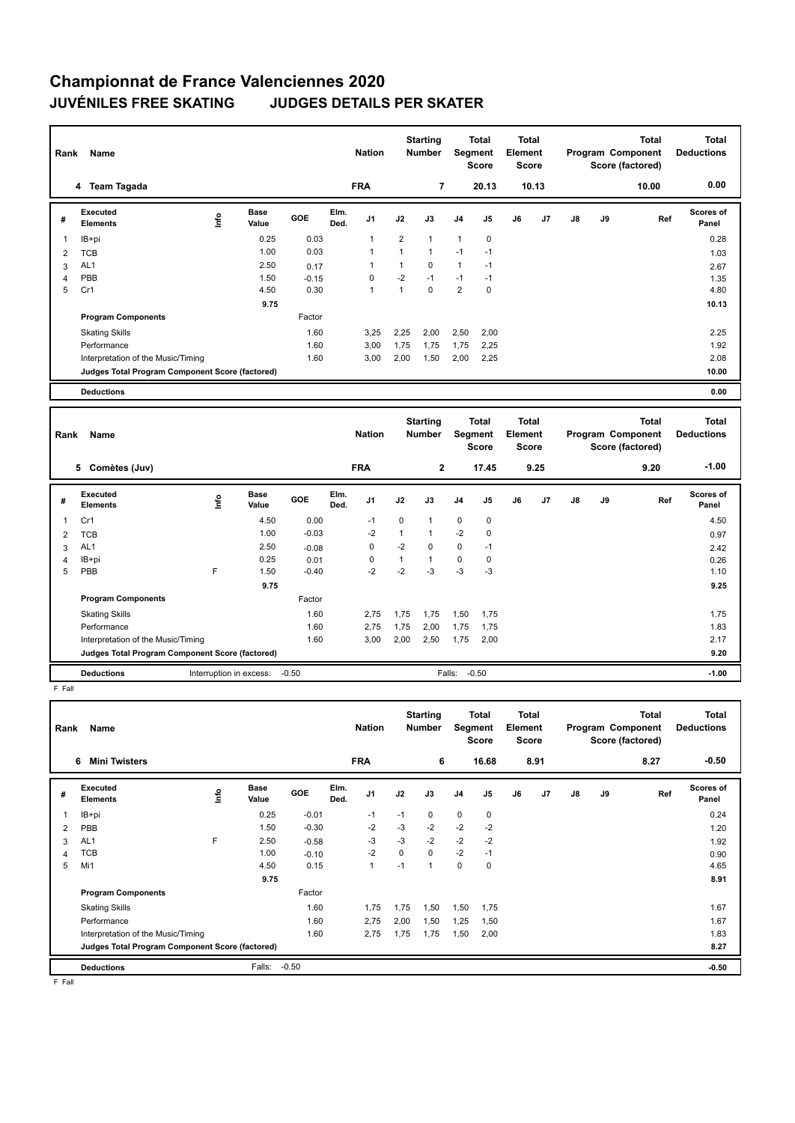## **Championnat de France Valenciennes 2020 JUVÉNILES FREE SKATING JUDGES DETAILS PER SKATER**

| Name<br>Rank |                                                 |      |               |         |              | <b>Nation</b>  |                | <b>Starting</b><br><b>Number</b> |                | Total<br>Segment<br><b>Score</b> | <b>Total</b><br>Element<br><b>Score</b> |       | <b>Total</b><br>Program Component<br>Score (factored) |    |       | <b>Total</b><br><b>Deductions</b> |
|--------------|-------------------------------------------------|------|---------------|---------|--------------|----------------|----------------|----------------------------------|----------------|----------------------------------|-----------------------------------------|-------|-------------------------------------------------------|----|-------|-----------------------------------|
|              | 4 Team Tagada                                   |      |               |         |              | <b>FRA</b>     |                | 7                                |                | 20.13                            |                                         | 10.13 |                                                       |    | 10.00 | 0.00                              |
| #            | Executed<br><b>Elements</b>                     | lnfo | Base<br>Value | GOE     | Elm.<br>Ded. | J <sub>1</sub> | J2             | J3                               | J <sub>4</sub> | J <sub>5</sub>                   | J6                                      | J7    | J8                                                    | J9 | Ref   | <b>Scores of</b><br>Panel         |
|              | IB+pi                                           |      | 0.25          | 0.03    |              | $\mathbf{1}$   | $\overline{2}$ | 1                                | $\mathbf{1}$   | $\mathbf 0$                      |                                         |       |                                                       |    |       | 0.28                              |
| 2            | <b>TCB</b>                                      |      | 1.00          | 0.03    |              | 1              | $\mathbf{1}$   | $\mathbf{1}$                     | $-1$           | $-1$                             |                                         |       |                                                       |    |       | 1.03                              |
| 3            | AL <sub>1</sub>                                 |      | 2.50          | 0.17    |              |                | 1              | $\mathbf 0$                      | $\mathbf{1}$   | $-1$                             |                                         |       |                                                       |    |       | 2.67                              |
| 4            | PBB                                             |      | 1.50          | $-0.15$ |              | 0              | $-2$           | $-1$                             | $-1$           | $-1$                             |                                         |       |                                                       |    |       | 1.35                              |
| 5            | Cr1                                             |      | 4.50          | 0.30    |              | $\mathbf{1}$   | $\mathbf{1}$   | 0                                | $\overline{2}$ | 0                                |                                         |       |                                                       |    |       | 4.80                              |
|              |                                                 |      | 9.75          |         |              |                |                |                                  |                |                                  |                                         |       |                                                       |    |       | 10.13                             |
|              | <b>Program Components</b>                       |      |               | Factor  |              |                |                |                                  |                |                                  |                                         |       |                                                       |    |       |                                   |
|              | <b>Skating Skills</b>                           |      |               | 1.60    |              | 3,25           | 2,25           | 2,00                             | 2,50           | 2,00                             |                                         |       |                                                       |    |       | 2.25                              |
|              | Performance                                     |      |               | 1.60    |              | 3,00           | 1,75           | 1,75                             | 1,75           | 2,25                             |                                         |       |                                                       |    |       | 1.92                              |
|              | Interpretation of the Music/Timing              |      |               | 1.60    |              | 3,00           | 2,00           | 1,50                             | 2,00           | 2,25                             |                                         |       |                                                       |    |       | 2.08                              |
|              | Judges Total Program Component Score (factored) |      |               |         |              |                |                |                                  |                |                                  |                                         |       |                                                       |    |       | 10.00                             |
|              | <b>Deductions</b>                               |      |               |         |              |                |                |                                  |                |                                  |                                         |       |                                                       |    |       | 0.00                              |
|              |                                                 |      |               |         |              |                |                |                                  |                |                                  |                                         |       |                                                       |    |       |                                   |
|              |                                                 |      |               |         |              |                |                | $0 + \frac{1}{2}$                |                | Tatal                            | Tatal                                   |       |                                                       |    | Tatal | <b>Total</b>                      |

| Rank | Name                                            |                         |               |            |              | <b>Nation</b>  |                | <b>Starting</b><br><b>Number</b> |                | Total<br>Segment<br><b>Score</b> | Total<br>Element<br><b>Score</b> |      |    |    | <b>Total</b><br>Program Component<br>Score (factored) | <b>Total</b><br><b>Deductions</b> |  |
|------|-------------------------------------------------|-------------------------|---------------|------------|--------------|----------------|----------------|----------------------------------|----------------|----------------------------------|----------------------------------|------|----|----|-------------------------------------------------------|-----------------------------------|--|
|      | Comètes (Juv)<br>5                              |                         |               |            |              | <b>FRA</b>     |                | $\mathbf{2}$                     |                | 17.45                            |                                  | 9.25 |    |    | 9.20                                                  | $-1.00$                           |  |
| #    | Executed<br><b>Elements</b>                     | ١nto                    | Base<br>Value | <b>GOE</b> | Elm.<br>Ded. | J <sub>1</sub> | J2             | J3                               | J <sub>4</sub> | J <sub>5</sub>                   | J6                               | J7   | J8 | J9 | Ref                                                   | <b>Scores of</b><br>Panel         |  |
|      | Cr1                                             |                         | 4.50          | 0.00       |              | $-1$           | 0              | 1                                | 0              | 0                                |                                  |      |    |    |                                                       | 4.50                              |  |
| 2    | <b>TCB</b>                                      |                         | 1.00          | $-0.03$    |              | $-2$           | $\overline{1}$ | 1                                | $-2$           | 0                                |                                  |      |    |    |                                                       | 0.97                              |  |
| 3    | AL <sub>1</sub>                                 |                         | 2.50          | $-0.08$    |              | 0              | $-2$           | 0                                | 0              | $-1$                             |                                  |      |    |    |                                                       | 2.42                              |  |
| 4    | IB+pi                                           |                         | 0.25          | 0.01       |              | 0              | 1              | 1                                | $\mathbf 0$    | 0                                |                                  |      |    |    |                                                       | 0.26                              |  |
| 5    | PBB                                             | F                       | 1.50          | $-0.40$    |              | $-2$           | $-2$           | $-3$                             | $-3$           | $-3$                             |                                  |      |    |    |                                                       | 1.10                              |  |
|      |                                                 |                         | 9.75          |            |              |                |                |                                  |                |                                  |                                  |      |    |    |                                                       | 9.25                              |  |
|      | <b>Program Components</b>                       |                         |               | Factor     |              |                |                |                                  |                |                                  |                                  |      |    |    |                                                       |                                   |  |
|      | <b>Skating Skills</b>                           |                         |               | 1.60       |              | 2,75           | 1,75           | 1,75                             | 1,50           | 1,75                             |                                  |      |    |    |                                                       | 1.75                              |  |
|      | Performance                                     |                         |               | 1.60       |              | 2,75           | 1,75           | 2,00                             | 1,75           | 1,75                             |                                  |      |    |    |                                                       | 1.83                              |  |
|      | Interpretation of the Music/Timing              |                         |               | 1.60       |              | 3,00           | 2,00           | 2,50                             | 1,75           | 2,00                             |                                  |      |    |    |                                                       | 2.17                              |  |
|      | Judges Total Program Component Score (factored) |                         |               |            |              |                |                |                                  |                |                                  |                                  |      |    |    |                                                       | 9.20                              |  |
|      | <b>Deductions</b>                               | Interruption in excess: |               | $-0.50$    |              |                |                |                                  | Falls:         | $-0.50$                          |                                  |      |    |    |                                                       | $-1.00$                           |  |

F Fall

| Rank | Name                                            |   |                      |         |              | <b>Nation</b>  |      | <b>Starting</b><br><b>Number</b> | Segment        | Total<br><b>Score</b> | <b>Total</b><br>Element<br><b>Score</b> |      |               |    | <b>Total</b><br>Program Component<br>Score (factored) | <b>Total</b><br><b>Deductions</b> |
|------|-------------------------------------------------|---|----------------------|---------|--------------|----------------|------|----------------------------------|----------------|-----------------------|-----------------------------------------|------|---------------|----|-------------------------------------------------------|-----------------------------------|
|      | <b>Mini Twisters</b><br>6                       |   |                      |         |              | <b>FRA</b>     |      | 6                                |                | 16.68                 |                                         | 8.91 |               |    | 8.27                                                  | $-0.50$                           |
| #    | Executed<br><b>Elements</b>                     | ۴ | <b>Base</b><br>Value | GOE     | Elm.<br>Ded. | J <sub>1</sub> | J2   | J3                               | J <sub>4</sub> | J5                    | J6                                      | J7   | $\mathsf{J}8$ | J9 | Ref                                                   | Scores of<br>Panel                |
|      | IB+pi                                           |   | 0.25                 | $-0.01$ |              | $-1$           | $-1$ | $\Omega$                         | $\mathbf 0$    | $\mathbf 0$           |                                         |      |               |    |                                                       | 0.24                              |
| 2    | PBB                                             |   | 1.50                 | $-0.30$ |              | $-2$           | $-3$ | $-2$                             | $-2$           | $-2$                  |                                         |      |               |    |                                                       | 1.20                              |
| 3    | AL <sub>1</sub>                                 | F | 2.50                 | $-0.58$ |              | $-3$           | $-3$ | $-2$                             | $-2$           | $-2$                  |                                         |      |               |    |                                                       | 1.92                              |
| 4    | TCB                                             |   | 1.00                 | $-0.10$ |              | $-2$           | 0    | 0                                | $-2$           | $-1$                  |                                         |      |               |    |                                                       | 0.90                              |
| 5    | Mi1                                             |   | 4.50                 | 0.15    |              | $\mathbf{1}$   | $-1$ | 1                                | 0              | $\Omega$              |                                         |      |               |    |                                                       | 4.65                              |
|      |                                                 |   | 9.75                 |         |              |                |      |                                  |                |                       |                                         |      |               |    |                                                       | 8.91                              |
|      | <b>Program Components</b>                       |   |                      | Factor  |              |                |      |                                  |                |                       |                                         |      |               |    |                                                       |                                   |
|      | <b>Skating Skills</b>                           |   |                      | 1.60    |              | 1,75           | 1,75 | 1,50                             | 1,50           | 1,75                  |                                         |      |               |    |                                                       | 1.67                              |
|      | Performance                                     |   |                      | 1.60    |              | 2,75           | 2,00 | 1,50                             | 1,25           | 1,50                  |                                         |      |               |    |                                                       | 1.67                              |
|      | Interpretation of the Music/Timing              |   |                      | 1.60    |              | 2,75           | 1,75 | 1,75                             | 1,50           | 2,00                  |                                         |      |               |    |                                                       | 1.83                              |
|      | Judges Total Program Component Score (factored) |   |                      |         |              |                |      |                                  |                |                       |                                         |      |               |    |                                                       | 8.27                              |
|      | <b>Deductions</b>                               |   | Falls:               | $-0.50$ |              |                |      |                                  |                |                       |                                         |      |               |    |                                                       | $-0.50$                           |

F Fall